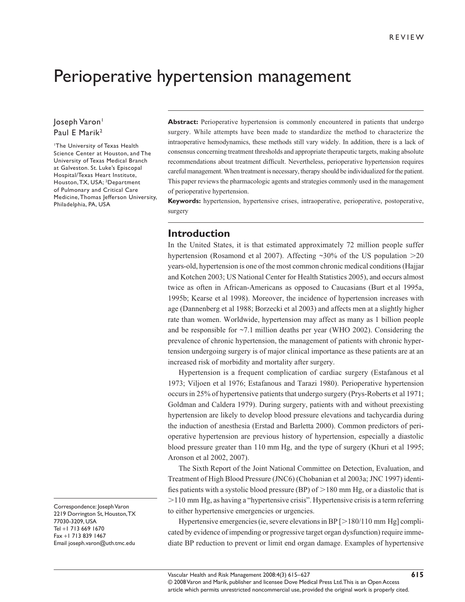# Perioperative hypertension management

### Joseph Varon<sup>1</sup> Paul E Marik<sup>2</sup>

<sup>1</sup>The University of Texas Health Science Center at Houston, and The University of Texas Medical Branch at Galveston. St. Luke's Episcopal Hospital/Texas Heart Institute, Houston, TX, USA; 2Department of Pulmonary and Critical Care Medicine, Thomas Jefferson University, Philadelphia, PA, USA

**Abstract:** Perioperative hypertension is commonly encountered in patients that undergo surgery. While attempts have been made to standardize the method to characterize the intraoperative hemodynamics, these methods still vary widely. In addition, there is a lack of consensus concerning treatment thresholds and appropriate therapeutic targets, making absolute recommendations about treatment difficult. Nevertheless, perioperative hypertension requires careful management. When treatment is necessary, therapy should be individualized for the patient. This paper reviews the pharmacologic agents and strategies commonly used in the management

**Keywords:** hypertension, hypertensive crises, intraoperative, perioperative, postoperative, surgery

## **Introduction**

of perioperative hypertension.

In the United States, it is that estimated approximately 72 million people suffer hypertension (Rosamond et al 2007). Affecting  $\sim$ 30% of the US population  $>$ 20 years-old, hypertension is one of the most common chronic medical conditions (Hajjar and Kotchen 2003; US National Center for Health Statistics 2005), and occurs almost twice as often in African-Americans as opposed to Caucasians (Burt et al 1995a, 1995b; Kearse et al 1998). Moreover, the incidence of hypertension increases with age (Dannenberg et al 1988; Borzecki et al 2003) and affects men at a slightly higher rate than women. Worldwide, hypertension may affect as many as 1 billion people and be responsible for ~7.1 million deaths per year (WHO 2002). Considering the prevalence of chronic hypertension, the management of patients with chronic hypertension undergoing surgery is of major clinical importance as these patients are at an increased risk of morbidity and mortality after surgery.

Hypertension is a frequent complication of cardiac surgery (Estafanous et al 1973; Viljoen et al 1976; Estafanous and Tarazi 1980). Perioperative hypertension occurs in 25% of hypertensive patients that undergo surgery (Prys-Roberts et al 1971; Goldman and Caldera 1979). During surgery, patients with and without preexisting hypertension are likely to develop blood pressure elevations and tachycardia during the induction of anesthesia (Erstad and Barletta 2000). Common predictors of perioperative hypertension are previous history of hypertension, especially a diastolic blood pressure greater than 110 mm Hg, and the type of surgery (Khuri et al 1995; Aronson et al 2002, 2007).

The Sixth Report of the Joint National Committee on Detection, Evaluation, and Treatment of High Blood Pressure (JNC6) (Chobanian et al 2003a; JNC 1997) identifies patients with a systolic blood pressure (BP) of  $>$  180 mm Hg, or a diastolic that is 110 mm Hg, as having a "hypertensive crisis". Hypertensive crisis is a term referring to either hypertensive emergencies or urgencies.

Hypertensive emergencies (ie, severe elevations in BP  $\lceil$  > 180/110 mm Hg] complicated by evidence of impending or progressive target organ dysfunction) require immediate BP reduction to prevent or limit end organ damage. Examples of hypertensive

Correspondence: Joseph Varon 2219 Dorrington St, Houston, TX 77030-3209, USA Tel +1 713 669 1670 Fax +1 713 839 1467 Email joseph.varon@uth.tmc.edu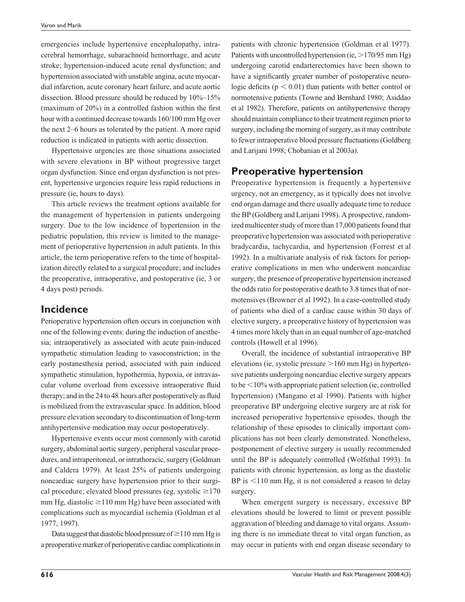emergencies include hypertensive encephalopathy, intracerebral hemorrhage, subarachnoid hemorrhage, and acute stroke; hypertension-induced acute renal dysfunction; and hypertension associated with unstable angina, acute myocardial infarction, acute coronary heart failure, and acute aortic dissection. Blood pressure should be reduced by 10%–15% (maximum of  $20\%$ ) in a controlled fashion within the first hour with a continued decrease towards 160/100 mm Hg over the next 2–6 hours as tolerated by the patient. A more rapid reduction is indicated in patients with aortic dissection.

Hypertensive urgencies are those situations associated with severe elevations in BP without progressive target organ dysfunction. Since end organ dysfunction is not present, hypertensive urgencies require less rapid reductions in pressure (ie, hours to days).

This article reviews the treatment options available for the management of hypertension in patients undergoing surgery. Due to the low incidence of hypertension in the pediatric population, this review is limited to the management of perioperative hypertension in adult patients. In this article, the term perioperative refers to the time of hospitalization directly related to a surgical procedure; and includes the preoperative, intraoperative, and postoperative (ie, 3 or 4 days post) periods.

## **Incidence**

Perioperative hypertension often occurs in conjunction with one of the following events: during the induction of anesthesia; intraoperatively as associated with acute pain-induced sympathetic stimulation leading to vasoconstriction; in the early postanesthesia period, associated with pain induced sympathetic stimulation, hypothermia, hypoxia, or intravascular volume overload from excessive intraoperative fluid therapy; and in the 24 to 48 hours after postoperatively as fluid is mobilized from the extravascular space. In addition, blood pressure elevation secondary to discontinuation of long-term antihypertensive medication may occur postoperatively.

Hypertensive events occur most commonly with carotid surgery, abdominal aortic surgery, peripheral vascular procedures, and intraperitoneal, or intrathoracic, surgery (Goldman and Caldera 1979). At least 25% of patients undergoing noncardiac surgery have hypertension prior to their surgical procedure; elevated blood pressures (eg, systolic  $\geq$ 170 mm Hg, diastolic  $\geq$ 110 mm Hg) have been associated with complications such as myocardial ischemia (Goldman et al 1977, 1997).

Data suggest that diastolic blood pressure of  $\geq$  110 mm Hg is a preoperative marker of perioperative cardiac complications in

patients with chronic hypertension (Goldman et al 1977). Patients with uncontrolled hypertension (ie,  $>170/95$  mm Hg) undergoing carotid endarterectomies have been shown to have a significantly greater number of postoperative neurologic deficits ( $p < 0.01$ ) than patients with better control or normotensive patients (Towne and Bernhard 1980; Asiddao et al 1982). Therefore, patients on antihypertensive therapy should maintain compliance to their treatment regimen prior to surgery, including the morning of surgery, as it may contribute to fewer intraoperative blood pressure fluctuations (Goldberg and Larijani 1998; Chobanian et al 2003a).

# **Preoperative hypertension**

Preoperative hypertension is frequently a hypertensive urgency, not an emergency, as it typically does not involve end organ damage and there usually adequate time to reduce the BP (Goldberg and Larijani 1998). A prospective, randomized multicenter study of more than 17,000 patients found that preoperative hypertension was associated with perioperative bradycardia, tachycardia, and hypertension (Forrest et al 1992). In a multivariate analysis of risk factors for perioperative complications in men who underwent noncardiac surgery, the presence of preoperative hypertension increased the odds ratio for postoperative death to 3.8 times that of normotensives (Browner et al 1992). In a case-controlled study of patients who died of a cardiac cause within 30 days of elective surgery, a preoperative history of hypertension was 4 times more likely than in an equal number of age-matched controls (Howell et al 1996).

Overall, the incidence of substantial intraoperative BP elevations (ie, systolic pressure  $>160$  mm Hg) in hypertensive patients undergoing noncardiac elective surgery appears to be  $\leq 10\%$  with appropriate patient selection (ie, controlled hypertension) (Mangano et al 1990). Patients with higher preoperative BP undergoing elective surgery are at risk for increased perioperative hypertensive episodes, though the relationship of these episodes to clinically important complications has not been clearly demonstrated. Nonetheless, postponement of elective surgery is usually recommended until the BP is adequately controlled (Wolfsthal 1993). In patients with chronic hypertension, as long as the diastolic BP is  $110 \text{ mm Hg}$ , it is not considered a reason to delay surgery.

When emergent surgery is necessary, excessive BP elevations should be lowered to limit or prevent possible aggravation of bleeding and damage to vital organs. Assuming there is no immediate threat to vital organ function, as may occur in patients with end organ disease secondary to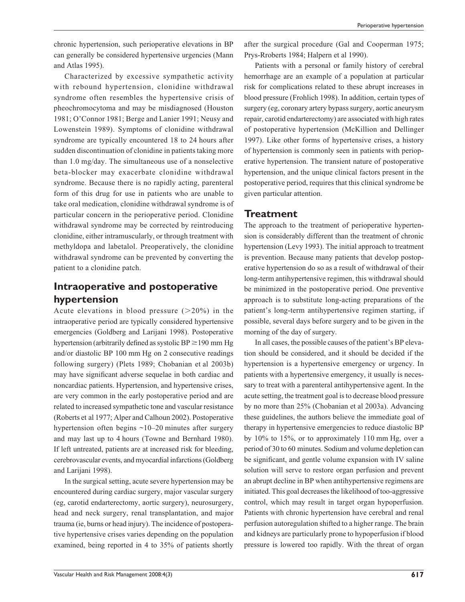chronic hypertension, such perioperative elevations in BP can generally be considered hypertensive urgencies (Mann and Atlas 1995).

Characterized by excessive sympathetic activity with rebound hypertension, clonidine withdrawal syndrome often resembles the hypertensive crisis of pheochromocytoma and may be misdiagnosed (Houston 1981; O'Connor 1981; Berge and Lanier 1991; Neusy and Lowenstein 1989). Symptoms of clonidine withdrawal syndrome are typically encountered 18 to 24 hours after sudden discontinuation of clonidine in patients taking more than 1.0 mg/day. The simultaneous use of a nonselective beta-blocker may exacerbate clonidine withdrawal syndrome. Because there is no rapidly acting, parenteral form of this drug for use in patients who are unable to take oral medication, clonidine withdrawal syndrome is of particular concern in the perioperative period. Clonidine withdrawal syndrome may be corrected by reintroducing clonidine, either intramuscularly, or through treatment with methyldopa and labetalol. Preoperatively, the clonidine withdrawal syndrome can be prevented by converting the patient to a clonidine patch.

# **Intraoperative and postoperative hypertension**

Acute elevations in blood pressure  $(20\%)$  in the intraoperative period are typically considered hypertensive emergencies (Goldberg and Larijani 1998). Postoperative hypertension (arbitrarily defined as systolic  $BP \ge 190$  mm Hg and/or diastolic BP 100 mm Hg on 2 consecutive readings following surgery) (Plets 1989; Chobanian et al 2003b) may have significant adverse sequelae in both cardiac and noncardiac patients. Hypertension, and hypertensive crises, are very common in the early postoperative period and are related to increased sympathetic tone and vascular resistance (Roberts et al 1977; Alper and Calhoun 2002). Postoperative hypertension often begins ~10–20 minutes after surgery and may last up to 4 hours (Towne and Bernhard 1980). If left untreated, patients are at increased risk for bleeding, cerebrovascular events, and myocardial infarctions (Goldberg and Larijani 1998).

In the surgical setting, acute severe hypertension may be encountered during cardiac surgery, major vascular surgery (eg, carotid endarterectomy, aortic surgery), neurosurgery, head and neck surgery, renal transplantation, and major trauma (ie, burns or head injury). The incidence of postoperative hypertensive crises varies depending on the population examined, being reported in 4 to 35% of patients shortly after the surgical procedure (Gal and Cooperman 1975; Prys-Rroberts 1984; Halpern et al 1990).

Patients with a personal or family history of cerebral hemorrhage are an example of a population at particular risk for complications related to these abrupt increases in blood pressure (Frohlich 1998). In addition, certain types of surgery (eg, coronary artery bypass surgery, aortic aneurysm repair, carotid endarterectomy) are associated with high rates of postoperative hypertension (McKillion and Dellinger 1997). Like other forms of hypertensive crises, a history of hypertension is commonly seen in patients with perioperative hypertension. The transient nature of postoperative hypertension, and the unique clinical factors present in the postoperative period, requires that this clinical syndrome be given particular attention.

### **Treatment**

The approach to the treatment of perioperative hypertension is considerably different than the treatment of chronic hypertension (Levy 1993). The initial approach to treatment is prevention. Because many patients that develop postoperative hypertension do so as a result of withdrawal of their long-term antihypertensive regimen, this withdrawal should be minimized in the postoperative period. One preventive approach is to substitute long-acting preparations of the patient's long-term antihypertensive regimen starting, if possible, several days before surgery and to be given in the morning of the day of surgery.

In all cases, the possible causes of the patient's BP elevation should be considered, and it should be decided if the hypertension is a hypertensive emergency or urgency. In patients with a hypertensive emergency, it usually is necessary to treat with a parenteral antihypertensive agent. In the acute setting, the treatment goal is to decrease blood pressure by no more than 25% (Chobanian et al 2003a). Advancing these guidelines, the authors believe the immediate goal of therapy in hypertensive emergencies to reduce diastolic BP by 10% to 15%, or to approximately 110 mm Hg, over a period of 30 to 60 minutes. Sodium and volume depletion can be significant, and gentle volume expansion with IV saline solution will serve to restore organ perfusion and prevent an abrupt decline in BP when antihypertensive regimens are initiated. This goal decreases the likelihood of too-aggressive control, which may result in target organ hypoperfusion. Patients with chronic hypertension have cerebral and renal perfusion autoregulation shifted to a higher range. The brain and kidneys are particularly prone to hypoperfusion if blood pressure is lowered too rapidly. With the threat of organ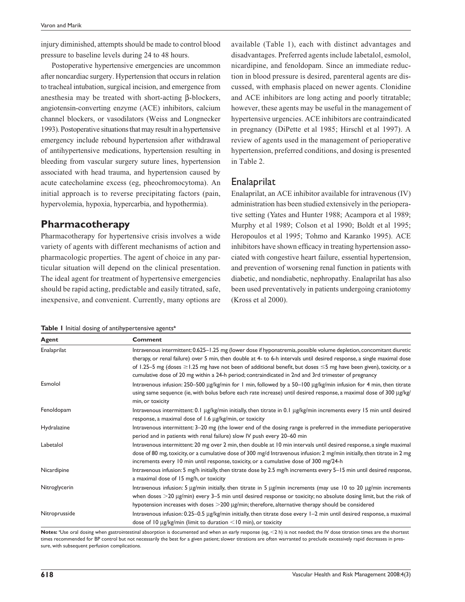injury diminished, attempts should be made to control blood pressure to baseline levels during 24 to 48 hours.

Postoperative hypertensive emergencies are uncommon after noncardiac surgery. Hypertension that occurs in relation to tracheal intubation, surgical incision, and emergence from anesthesia may be treated with short-acting β-blockers, angiotensin-converting enzyme (ACE) inhibitors, calcium channel blockers, or vasodilators (Weiss and Longnecker 1993). Postoperative situations that may result in a hypertensive emergency include rebound hypertension after withdrawal of antihypertensive medications, hypertension resulting in bleeding from vascular surgery suture lines, hypertension associated with head trauma, and hypertension caused by acute catecholamine excess (eg, pheochromocytoma). An initial approach is to reverse precipitating factors (pain, hypervolemia, hypoxia, hypercarbia, and hypothermia).

## **Pharmacotherapy**

Pharmacotherapy for hypertensive crisis involves a wide variety of agents with different mechanisms of action and pharmacologic properties. The agent of choice in any particular situation will depend on the clinical presentation. The ideal agent for treatment of hypertensive emergencies should be rapid acting, predictable and easily titrated, safe, inexpensive, and convenient. Currently, many options are available (Table 1), each with distinct advantages and disadvantages. Preferred agents include labetalol, esmolol, nicardipine, and fenoldopam. Since an immediate reduction in blood pressure is desired, parenteral agents are discussed, with emphasis placed on newer agents. Clonidine and ACE inhibitors are long acting and poorly titratable; however, these agents may be useful in the management of hypertensive urgencies. ACE inhibitors are contraindicated in pregnancy (DiPette et al 1985; Hirschl et al 1997). A review of agents used in the management of perioperative hypertension, preferred conditions, and dosing is presented in Table 2.

## **Enalaprilat**

Enalaprilat, an ACE inhibitor available for intravenous (IV) administration has been studied extensively in the perioperative setting (Yates and Hunter 1988; Acampora et al 1989; Murphy et al 1989; Colson et al 1990; Boldt et al 1995; Heropoulos et al 1995; Tohmo and Karanko 1995). ACE inhibitors have shown efficacy in treating hypertension associated with congestive heart failure, essential hypertension, and prevention of worsening renal function in patients with diabetic, and nondiabetic, nephropathy. Enalaprilat has also been used preventatively in patients undergoing craniotomy (Kross et al 2000).

| Table I Initial dosing of antihypertensive agents <sup>a</sup> |  |  |  |  |
|----------------------------------------------------------------|--|--|--|--|
|                                                                |  |  |  |  |

| <b>Agent</b>  | <b>Comment</b>                                                                                                                                                                                                                                                                                                                                                                                                                                                                            |  |  |  |  |
|---------------|-------------------------------------------------------------------------------------------------------------------------------------------------------------------------------------------------------------------------------------------------------------------------------------------------------------------------------------------------------------------------------------------------------------------------------------------------------------------------------------------|--|--|--|--|
| Enalaprilat   | Intravenous intermittent: 0.625-1.25 mg (lower dose if hyponatremia, possible volume depletion, concomitant diuretic<br>therapy, or renal failure) over 5 min, then double at 4- to 6-h intervals until desired response, a single maximal dose<br>of 1.25–5 mg (doses $\geq$ 1.25 mg have not been of additional benefit, but doses $\leq$ 5 mg have been given), toxicity, or a<br>cumulative dose of 20 mg within a 24-h period; contraindicated in 2nd and 3rd trimester of pregnancy |  |  |  |  |
| Esmolol       | Intravenous infusion: 250-500 µg/kg/min for 1 min, followed by a 50-100 µg/kg/min infusion for 4 min, then titrate<br>using same sequence (ie, with bolus before each rate increase) until desired response, a maximal dose of 300 µg/kg/<br>min, or toxicity                                                                                                                                                                                                                             |  |  |  |  |
| Fenoldopam    | Intravenous intermittent: 0.1 µg/kg/min initially, then titrate in 0.1 µg/kg/min increments every 15 min until desired<br>response, a maximal dose of 1.6 µg/kg/min, or toxicity                                                                                                                                                                                                                                                                                                          |  |  |  |  |
| Hydralazine   | Intravenous intermittent: 3-20 mg (the lower end of the dosing range is preferred in the immediate perioperative<br>period and in patients with renal failure) slow IV push every 20-60 min                                                                                                                                                                                                                                                                                               |  |  |  |  |
| Labetalol     | Intravenous intermittent: 20 mg over 2 min, then double at 10 min intervals until desired response, a single maximal<br>dose of 80 mg, toxicity, or a cumulative dose of 300 mg/d Intravenous infusion: 2 mg/min initially, then titrate in 2 mg<br>increments every 10 min until response, toxicity, or a cumulative dose of 300 mg/24-h                                                                                                                                                 |  |  |  |  |
| Nicardipine   | Intravenous infusion: 5 mg/h initially, then titrate dose by 2.5 mg/h increments every 5-15 min until desired response,<br>a maximal dose of 15 mg/h, or toxicity                                                                                                                                                                                                                                                                                                                         |  |  |  |  |
| Nitroglycerin | Intravenous infusion: 5 µg/min initially, then titrate in 5 µg/min increments (may use 10 to 20 µg/min increments<br>when doses $>$ 20 µg/min) every 3–5 min until desired response or toxicity; no absolute dosing limit, but the risk of<br>hypotension increases with doses $>$ 200 $\mu$ g/min; therefore, alternative therapy should be considered                                                                                                                                   |  |  |  |  |
| Nitroprusside | Intravenous infusion: 0.25-0.5 µg/kg/min initially, then titrate dose every 1-2 min until desired response, a maximal<br>dose of 10 $\mu$ g/kg/min (limit to duration <10 min), or toxicity                                                                                                                                                                                                                                                                                               |  |  |  |  |

Notes: <sup>a</sup>Use oral dosing when gastrointestinal absorption is documented and when an early response (eg, <2 h) is not needed; the IV dose titration times are the shortest times recommended for BP control but not necessarily the best for a given patient; slower titrations are often warranted to preclude excessively rapid decreases in pressure, with subsequent perfusion complications.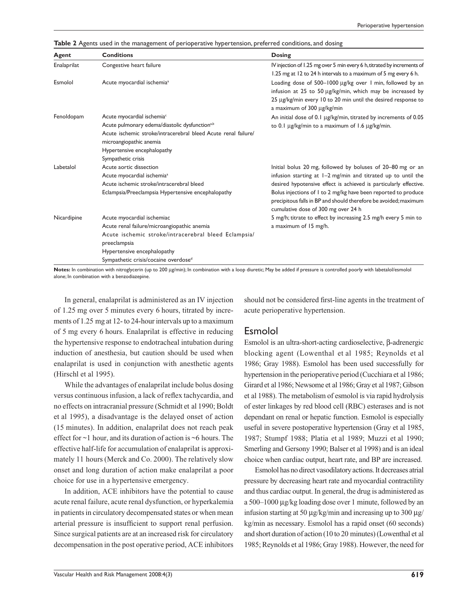|  | Table 2 Agents used in the management of perioperative hypertension, preferred conditions, and dosing |  |  |  |
|--|-------------------------------------------------------------------------------------------------------|--|--|--|
|  |                                                                                                       |  |  |  |

| Agent       | <b>Conditions</b>                                                                                                                                                                                                                                      | <b>Dosing</b>                                                                                                                                                                                                                                                                                                                                                                |
|-------------|--------------------------------------------------------------------------------------------------------------------------------------------------------------------------------------------------------------------------------------------------------|------------------------------------------------------------------------------------------------------------------------------------------------------------------------------------------------------------------------------------------------------------------------------------------------------------------------------------------------------------------------------|
| Enalaprilat | Congestive heart failure                                                                                                                                                                                                                               | IV injection of 1.25 mg over 5 min every 6 h, titrated by increments of<br>1.25 mg at 12 to 24 h intervals to a maximum of 5 mg every 6 h.                                                                                                                                                                                                                                   |
| Esmolol     | Acute myocardial ischemia <sup>a</sup>                                                                                                                                                                                                                 | Loading dose of 500-1000 µg/kg over 1 min, followed by an<br>infusion at 25 to 50 µg/kg/min, which may be increased by<br>25 µg/kg/min every 10 to 20 min until the desired response to<br>a maximum of 300 µg/kg/min                                                                                                                                                        |
| Fenoldopam  | Acute myocardial ischemia <sup>c</sup><br>Acute pulmonary edema/diastolic dysfunction <sup>a,b</sup><br>Acute ischemic stroke/intracerebral bleed Acute renal failure/<br>microangiopathic anemia<br>Hypertensive encephalopathy<br>Sympathetic crisis | An initial dose of 0.1 µg/kg/min, titrated by increments of 0.05<br>to 0.1 μg/kg/min to a maximum of 1.6 μg/kg/min.                                                                                                                                                                                                                                                          |
| Labetalol   | Acute aortic dissection<br>Acute myocardial ischemia <sup>a</sup><br>Acute ischemic stroke/intracerebral bleed<br>Eclampsia/Preeclampsia Hypertensive encephalopathy                                                                                   | Initial bolus 20 mg, followed by boluses of 20–80 mg or an<br>infusion starting at 1-2 mg/min and titrated up to until the<br>desired hypotensive effect is achieved is particularly effective.<br>Bolus injections of I to 2 mg/kg have been reported to produce<br>precipitous falls in BP and should therefore be avoided; maximum<br>cumulative dose of 300 mg over 24 h |
| Nicardipine | Acute myocardial ischemiac<br>Acute renal failure/microangiopathic anemia<br>Acute ischemic stroke/intracerebral bleed Eclampsia/<br>preeclampsia<br>Hypertensive encephalopathy<br>Sympathetic crisis/cocaine overdose <sup>d</sup>                   | 5 mg/h; titrate to effect by increasing 2.5 mg/h every 5 min to<br>a maximum of 15 mg/h.                                                                                                                                                                                                                                                                                     |

Notes: In combination with nitroglycerin (up to 200 µg/min); In combination with a loop diuretic; May be added if pressure is controlled poorly with labetalol/esmolol alone; In combination with a benzodiazepine.

In general, enalaprilat is administered as an IV injection of 1.25 mg over 5 minutes every 6 hours, titrated by increments of 1.25 mg at 12- to 24-hour intervals up to a maximum of 5 mg every 6 hours. Enalaprilat is effective in reducing the hypertensive response to endotracheal intubation during induction of anesthesia, but caution should be used when enalaprilat is used in conjunction with anesthetic agents (Hirschl et al 1995).

While the advantages of enalaprilat include bolus dosing versus continuous infusion, a lack of reflex tachycardia, and no effects on intracranial pressure (Schmidt et al 1990; Boldt et al 1995), a disadvantage is the delayed onset of action (15 minutes). In addition, enalaprilat does not reach peak effect for ~1 hour, and its duration of action is ~6 hours. The effective half-life for accumulation of enalaprilat is approximately 11 hours (Merck and Co. 2000). The relatively slow onset and long duration of action make enalaprilat a poor choice for use in a hypertensive emergency.

In addition, ACE inhibitors have the potential to cause acute renal failure, acute renal dysfunction, or hyperkalemia in patients in circulatory decompensated states or when mean arterial pressure is insufficient to support renal perfusion. Since surgical patients are at an increased risk for circulatory decompensation in the post operative period, ACE inhibitors should not be considered first-line agents in the treatment of acute perioperative hypertension.

### Esmolol

Esmolol is an ultra-short-acting cardioselective, β-adrenergic blocking agent (Lowenthal et al 1985; Reynolds et al 1986; Gray 1988). Esmolol has been used successfully for hypertension in the perioperative period (Cucchiara et al 1986; Girard et al 1986; Newsome et al 1986; Gray et al 1987; Gibson et al 1988). The metabolism of esmolol is via rapid hydrolysis of ester linkages by red blood cell (RBC) esterases and is not dependant on renal or hepatic function. Esmolol is especially useful in severe postoperative hypertension (Gray et al 1985, 1987; Stumpf 1988; Platia et al 1989; Muzzi et al 1990; Smerling and Gersony 1990; Balser et al 1998) and is an ideal choice when cardiac output, heart rate, and BP are increased.

Esmolol has no direct vasodilatory actions. It decreases atrial pressure by decreasing heart rate and myocardial contractility and thus cardiac output. In general, the drug is administered as a 500–1000 µg/kg loading dose over 1 minute, followed by an infusion starting at 50  $\mu$ g/kg/min and increasing up to 300  $\mu$ g/ kg/min as necessary. Esmolol has a rapid onset (60 seconds) and short duration of action (10 to 20 minutes) (Lowenthal et al 1985; Reynolds et al 1986; Gray 1988). However, the need for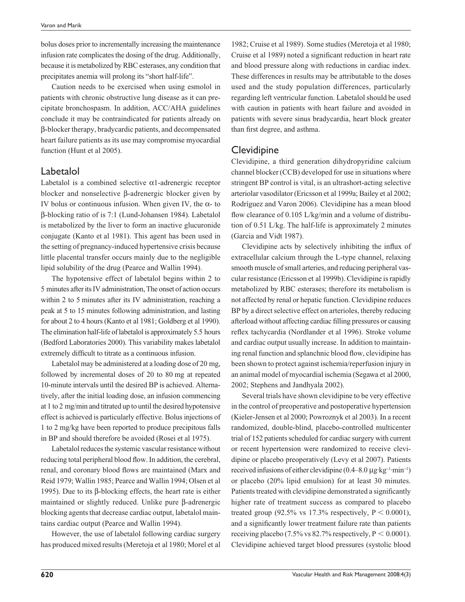bolus doses prior to incrementally increasing the maintenance infusion rate complicates the dosing of the drug. Additionally, because it is metabolized by RBC esterases, any condition that precipitates anemia will prolong its "short half-life".

Caution needs to be exercised when using esmolol in patients with chronic obstructive lung disease as it can precipitate bronchospasm. In addition, ACC/AHA guidelines conclude it may be contraindicated for patients already on β-blocker therapy, bradycardic patients, and decompensated heart failure patients as its use may compromise myocardial function (Hunt et al 2005).

## Labetalol

Labetalol is a combined selective  $\alpha$ 1-adrenergic receptor blocker and nonselective β-adrenergic blocker given by IV bolus or continuous infusion. When given IV, the  $\alpha$ - to β-blocking ratio of is 7:1 (Lund-Johansen 1984). Labetalol is metabolized by the liver to form an inactive glucuronide conjugate (Kanto et al 1981). This agent has been used in the setting of pregnancy-induced hypertensive crisis because little placental transfer occurs mainly due to the negligible lipid solubility of the drug (Pearce and Wallin 1994).

The hypotensive effect of labetalol begins within 2 to 5 minutes after its IV administration, The onset of action occurs within 2 to 5 minutes after its IV administration, reaching a peak at 5 to 15 minutes following administration, and lasting for about 2 to 4 hours (Kanto et al 1981; Goldberg et al 1990). The elimination half-life of labetalol is approximately 5.5 hours (Bedford Laboratories 2000). This variability makes labetalol extremely difficult to titrate as a continuous infusion.

Labetalol may be administered at a loading dose of 20 mg, followed by incremental doses of 20 to 80 mg at repeated 10-minute intervals until the desired BP is achieved. Alternatively, after the initial loading dose, an infusion commencing at 1 to 2 mg/min and titrated up to until the desired hypotensive effect is achieved is particularly effective. Bolus injections of 1 to 2 mg/kg have been reported to produce precipitous falls in BP and should therefore be avoided (Rosei et al 1975).

Labetalol reduces the systemic vascular resistance without reducing total peripheral blood flow. In addition, the cerebral, renal, and coronary blood flows are maintained (Marx and Reid 1979; Wallin 1985; Pearce and Wallin 1994; Olsen et al 1995). Due to its β-blocking effects, the heart rate is either maintained or slightly reduced. Unlike pure β-adrenergic blocking agents that decrease cardiac output, labetalol maintains cardiac output (Pearce and Wallin 1994).

However, the use of labetalol following cardiac surgery has produced mixed results (Meretoja et al 1980; Morel et al

1982; Cruise et al 1989). Some studies (Meretoja et al 1980; Cruise et al 1989) noted a significant reduction in heart rate and blood pressure along with reductions in cardiac index. These differences in results may be attributable to the doses used and the study population differences, particularly regarding left ventricular function. Labetalol should be used with caution in patients with heart failure and avoided in patients with severe sinus bradycardia, heart block greater than first degree, and asthma.

## **Clevidipine**

Clevidipine, a third generation dihydropyridine calcium channel blocker (CCB) developed for use in situations where stringent BP control is vital, is an ultrashort-acting selective arteriolar vasodilator (Ericsson et al 1999a; Bailey et al 2002; Rodríguez and Varon 2006). Clevidipine has a mean blood flow clearance of 0.105 L/kg/min and a volume of distribution of 0.51 L/kg. The half-life is approximately 2 minutes (Garcia and Vidt 1987).

Clevidipine acts by selectively inhibiting the influx of extracellular calcium through the L-type channel, relaxing smooth muscle of small arteries, and reducing peripheral vascular resistance (Ericsson et al 1999b). Clevidipine is rapidly metabolized by RBC esterases; therefore its metabolism is not affected by renal or hepatic function. Clevidipine reduces BP by a direct selective effect on arterioles, thereby reducing afterload without affecting cardiac filling pressures or causing reflex tachycardia (Nordlander et al 1996). Stroke volume and cardiac output usually increase. In addition to maintaining renal function and splanchnic blood flow, clevidipine has been shown to protect against ischemia/reperfusion injury in an animal model of myocardial ischemia (Segawa et al 2000, 2002; Stephens and Jandhyala 2002).

Several trials have shown clevidipine to be very effective in the control of preoperative and postoperative hypertension (Kieler-Jensen et al 2000; Powroznyk et al 2003). In a recent randomized, double-blind, placebo-controlled multicenter trial of 152 patients scheduled for cardiac surgery with current or recent hypertension were randomized to receive clevidipine or placebo preoperatively (Levy et al 2007). Patients received infusions of either clevidipine  $(0.4–8.0 \,\mu g \text{ kg}^{-1} \cdot \text{min}^{-1})$ or placebo (20% lipid emulsion) for at least 30 minutes. Patients treated with clevidipine demonstrated a significantly higher rate of treatment success as compared to placebo treated group (92.5% vs 17.3% respectively,  $P < 0.0001$ ), and a significantly lower treatment failure rate than patients receiving placebo (7.5% vs 82.7% respectively,  $P < 0.0001$ ). Clevidipine achieved target blood pressures (systolic blood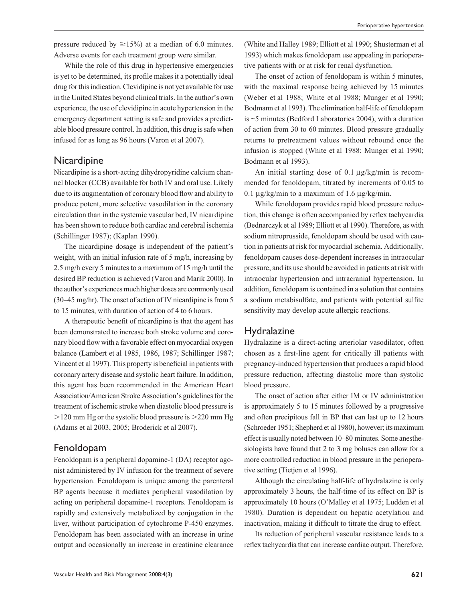pressure reduced by  $\geq 15\%$ ) at a median of 6.0 minutes. Adverse events for each treatment group were similar.

While the role of this drug in hypertensive emergencies is yet to be determined, its profile makes it a potentially ideal drug for this indication. Clevidipine is not yet available for use in the United States beyond clinical trials. In the author's own experience, the use of clevidipine in acute hypertension in the emergency department setting is safe and provides a predictable blood pressure control. In addition, this drug is safe when infused for as long as 96 hours (Varon et al 2007).

#### **Nicardipine**

Nicardipine is a short-acting dihydropyridine calcium channel blocker (CCB) available for both IV and oral use. Likely due to its augmentation of coronary blood flow and ability to produce potent, more selective vasodilation in the coronary circulation than in the systemic vascular bed, IV nicardipine has been shown to reduce both cardiac and cerebral ischemia (Schillinger 1987); (Kaplan 1990).

The nicardipine dosage is independent of the patient's weight, with an initial infusion rate of 5 mg/h, increasing by 2.5 mg/h every 5 minutes to a maximum of 15 mg/h until the desired BP reduction is achieved (Varon and Marik 2000). In the author's experiences much higher doses are commonly used (30–45 mg/hr). The onset of action of IV nicardipine is from 5 to 15 minutes, with duration of action of 4 to 6 hours.

A therapeutic benefit of nicardipine is that the agent has been demonstrated to increase both stroke volume and coronary blood flow with a favorable effect on myocardial oxygen balance (Lambert et al 1985, 1986, 1987; Schillinger 1987; Vincent et al 1997). This property is beneficial in patients with coronary artery disease and systolic heart failure. In addition, this agent has been recommended in the American Heart Association/American Stroke Association's guidelines for the treatment of ischemic stroke when diastolic blood pressure is  $>120$  mm Hg or the systolic blood pressure is  $>220$  mm Hg (Adams et al 2003, 2005; Broderick et al 2007).

## Fenoldopam

Fenoldopam is a peripheral dopamine-1 (DA) receptor agonist administered by IV infusion for the treatment of severe hypertension. Fenoldopam is unique among the parenteral BP agents because it mediates peripheral vasodilation by acting on peripheral dopamine-1 receptors. Fenoldopam is rapidly and extensively metabolized by conjugation in the liver, without participation of cytochrome P-450 enzymes. Fenoldopam has been associated with an increase in urine output and occasionally an increase in creatinine clearance (White and Halley 1989; Elliott et al 1990; Shusterman et al 1993) which makes fenoldopam use appealing in perioperative patients with or at risk for renal dysfunction.

The onset of action of fenoldopam is within 5 minutes, with the maximal response being achieved by 15 minutes (Weber et al 1988; White et al 1988; Munger et al 1990; Bodmann et al 1993). The elimination half-life of fenoldopam is ~5 minutes (Bedford Laboratories 2004), with a duration of action from 30 to 60 minutes. Blood pressure gradually returns to pretreatment values without rebound once the infusion is stopped (White et al 1988; Munger et al 1990; Bodmann et al 1993).

An initial starting dose of  $0.1 \mu g/kg/min$  is recommended for fenoldopam, titrated by increments of 0.05 to 0.1  $\mu$ g/kg/min to a maximum of 1.6  $\mu$ g/kg/min.

While fenoldopam provides rapid blood pressure reduction, this change is often accompanied by reflex tachycardia (Bednarczyk et al 1989; Elliott et al 1990). Therefore, as with sodium nitroprusside, fenoldopam should be used with caution in patients at risk for myocardial ischemia. Additionally, fenoldopam causes dose-dependent increases in intraocular pressure, and its use should be avoided in patients at risk with intraocular hypertension and intracranial hypertension. In addition, fenoldopam is contained in a solution that contains a sodium metabisulfate, and patients with potential sulfite sensitivity may develop acute allergic reactions.

## **Hydralazine**

Hydralazine is a direct-acting arteriolar vasodilator, often chosen as a first-line agent for critically ill patients with pregnancy-induced hypertension that produces a rapid blood pressure reduction, affecting diastolic more than systolic blood pressure.

The onset of action after either IM or IV administration is approximately 5 to 15 minutes followed by a progressive and often precipitous fall in BP that can last up to 12 hours (Schroeder 1951; Shepherd et al 1980), however; its maximum effect is usually noted between 10–80 minutes. Some anesthesiologists have found that 2 to 3 mg boluses can allow for a more controlled reduction in blood pressure in the perioperative setting (Tietjen et al 1996).

Although the circulating half-life of hydralazine is only approximately 3 hours, the half-time of its effect on BP is approximately 10 hours (O'Malley et al 1975; Ludden et al 1980). Duration is dependent on hepatic acetylation and inactivation, making it difficult to titrate the drug to effect.

Its reduction of peripheral vascular resistance leads to a reflex tachycardia that can increase cardiac output. Therefore,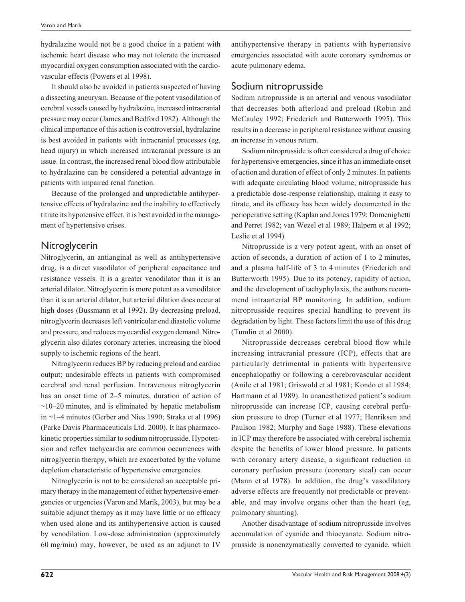hydralazine would not be a good choice in a patient with ischemic heart disease who may not tolerate the increased myocardial oxygen consumption associated with the cardiovascular effects (Powers et al 1998).

It should also be avoided in patients suspected of having a dissecting aneurysm. Because of the potent vasodilation of cerebral vessels caused by hydralazine, increased intracranial pressure may occur (James and Bedford 1982). Although the clinical importance of this action is controversial, hydralazine is best avoided in patients with intracranial processes (eg, head injury) in which increased intracranial pressure is an issue. In contrast, the increased renal blood flow attributable to hydralazine can be considered a potential advantage in patients with impaired renal function.

Because of the prolonged and unpredictable antihypertensive effects of hydralazine and the inability to effectively titrate its hypotensive effect, it is best avoided in the management of hypertensive crises.

## **Nitroglycerin**

Nitroglycerin, an antianginal as well as antihypertensive drug, is a direct vasodilator of peripheral capacitance and resistance vessels. It is a greater venodilator than it is an arterial dilator. Nitroglycerin is more potent as a venodilator than it is an arterial dilator, but arterial dilation does occur at high doses (Bussmann et al 1992). By decreasing preload, nitroglycerin decreases left ventricular end diastolic volume and pressure, and reduces myocardial oxygen demand. Nitroglycerin also dilates coronary arteries, increasing the blood supply to ischemic regions of the heart.

Nitroglycerin reduces BP by reducing preload and cardiac output; undesirable effects in patients with compromised cerebral and renal perfusion. Intravenous nitroglycerin has an onset time of 2–5 minutes, duration of action of  $\sim$ 10–20 minutes, and is eliminated by hepatic metabolism in ~1–4 minutes (Gerber and Nies 1990; Straka et al 1996) (Parke Davis Pharmaceuticals Ltd. 2000). It has pharmacokinetic properties similar to sodium nitroprusside. Hypotension and reflex tachycardia are common occurrences with nitroglycerin therapy, which are exacerbated by the volume depletion characteristic of hypertensive emergencies.

Nitroglycerin is not to be considered an acceptable primary therapy in the management of either hypertensive emergencies or urgencies (Varon and Marik, 2003), but may be a suitable adjunct therapy as it may have little or no efficacy when used alone and its antihypertensive action is caused by venodilation. Low-dose administration (approximately 60 mg/min) may, however, be used as an adjunct to IV

antihypertensive therapy in patients with hypertensive emergencies associated with acute coronary syndromes or acute pulmonary edema.

# Sodium nitroprusside

Sodium nitroprusside is an arterial and venous vasodilator that decreases both afterload and preload (Robin and McCauley 1992; Friederich and Butterworth 1995). This results in a decrease in peripheral resistance without causing an increase in venous return.

Sodium nitroprusside is often considered a drug of choice for hypertensive emergencies, since it has an immediate onset of action and duration of effect of only 2 minutes. In patients with adequate circulating blood volume, nitroprusside has a predictable dose-response relationship, making it easy to titrate, and its efficacy has been widely documented in the perioperative setting (Kaplan and Jones 1979; Domenighetti and Perret 1982; van Wezel et al 1989; Halpern et al 1992; Leslie et al 1994).

Nitroprusside is a very potent agent, with an onset of action of seconds, a duration of action of 1 to 2 minutes, and a plasma half-life of 3 to 4 minutes (Friederich and Butterworth 1995). Due to its potency, rapidity of action, and the development of tachyphylaxis, the authors recommend intraarterial BP monitoring. In addition, sodium nitroprusside requires special handling to prevent its degradation by light. These factors limit the use of this drug (Tumlin et al 2000).

Nitroprusside decreases cerebral blood flow while increasing intracranial pressure (ICP), effects that are particularly detrimental in patients with hypertensive encephalopathy or following a cerebrovascular accident (Anile et al 1981; Griswold et al 1981; Kondo et al 1984; Hartmann et al 1989). In unanesthetized patient's sodium nitroprusside can increase ICP, causing cerebral perfusion pressure to drop (Turner et al 1977; Henriksen and Paulson 1982; Murphy and Sage 1988). These elevations in ICP may therefore be associated with cerebral ischemia despite the benefits of lower blood pressure. In patients with coronary artery disease, a significant reduction in coronary perfusion pressure (coronary steal) can occur (Mann et al 1978). In addition, the drug's vasodilatory adverse effects are frequently not predictable or preventable, and may involve organs other than the heart (eg, pulmonary shunting).

Another disadvantage of sodium nitroprusside involves accumulation of cyanide and thiocyanate. Sodium nitroprusside is nonenzymatically converted to cyanide, which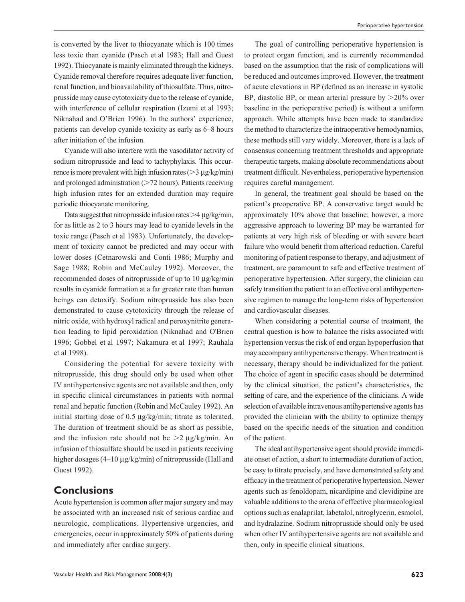is converted by the liver to thiocyanate which is 100 times less toxic than cyanide (Pasch et al 1983; Hall and Guest 1992). Thiocyanate is mainly eliminated through the kidneys. Cyanide removal therefore requires adequate liver function, renal function, and bioavailability of thiosulfate. Thus, nitroprusside may cause cytotoxicity due to the release of cyanide, with interference of cellular respiration (Izumi et al 1993; Niknahad and O'Brien 1996). In the authors' experience, patients can develop cyanide toxicity as early as 6–8 hours after initiation of the infusion.

Cyanide will also interfere with the vasodilator activity of sodium nitroprusside and lead to tachyphylaxis. This occurrence is more prevalent with high infusion rates ( $>$ 3 µg/kg/min) and prolonged administration  $($  > 72 hours). Patients receiving high infusion rates for an extended duration may require periodic thiocyanate monitoring.

Data suggest that nitroprusside infusion rates  $>4 \mu$ g/kg/min, for as little as 2 to 3 hours may lead to cyanide levels in the toxic range (Pasch et al 1983). Unfortunately, the development of toxicity cannot be predicted and may occur with lower doses (Cetnarowski and Conti 1986; Murphy and Sage 1988; Robin and McCauley 1992). Moreover, the recommended doses of nitroprusside of up to 10 µg/kg/min results in cyanide formation at a far greater rate than human beings can detoxify. Sodium nitroprusside has also been demonstrated to cause cytotoxicity through the release of nitric oxide, with hydroxyl radical and peroxynitrite generation leading to lipid peroxidation (Niknahad and O'Brien 1996; Gobbel et al 1997; Nakamura et al 1997; Rauhala et al 1998).

Considering the potential for severe toxicity with nitroprusside, this drug should only be used when other IV antihypertensive agents are not available and then, only in specific clinical circumstances in patients with normal renal and hepatic function (Robin and McCauley 1992). An initial starting dose of 0.5 µg/kg/min; titrate as tolerated. The duration of treatment should be as short as possible, and the infusion rate should not be  $>2 \mu g/kg/min$ . An infusion of thiosulfate should be used in patients receiving higher dosages (4–10 µg/kg/min) of nitroprusside (Hall and Guest 1992).

## **Conclusions**

Acute hypertension is common after major surgery and may be associated with an increased risk of serious cardiac and neurologic, complications. Hypertensive urgencies, and emergencies, occur in approximately 50% of patients during and immediately after cardiac surgery.

The goal of controlling perioperative hypertension is to protect organ function, and is currently recommended based on the assumption that the risk of complications will be reduced and outcomes improved. However, the treatment of acute elevations in BP (defined as an increase in systolic BP, diastolic BP, or mean arterial pressure by  $>20\%$  over baseline in the perioperative period) is without a uniform approach. While attempts have been made to standardize the method to characterize the intraoperative hemodynamics, these methods still vary widely. Moreover, there is a lack of consensus concerning treatment thresholds and appropriate therapeutic targets, making absolute recommendations about treatment difficult. Nevertheless, perioperative hypertension requires careful management.

In general, the treatment goal should be based on the patient's preoperative BP. A conservative target would be approximately 10% above that baseline; however, a more aggressive approach to lowering BP may be warranted for patients at very high risk of bleeding or with severe heart failure who would benefit from afterload reduction. Careful monitoring of patient response to therapy, and adjustment of treatment, are paramount to safe and effective treatment of perioperative hypertension. After surgery, the clinician can safely transition the patient to an effective oral antihypertensive regimen to manage the long-term risks of hypertension and cardiovascular diseases.

When considering a potential course of treatment, the central question is how to balance the risks associated with hypertension versus the risk of end organ hypoperfusion that may accompany antihypertensive therapy. When treatment is necessary, therapy should be individualized for the patient. The choice of agent in specific cases should be determined by the clinical situation, the patient's characteristics, the setting of care, and the experience of the clinicians. A wide selection of available intravenous antihypertensive agents has provided the clinician with the ability to optimize therapy based on the specific needs of the situation and condition of the patient.

The ideal antihypertensive agent should provide immediate onset of action, a short to intermediate duration of action, be easy to titrate precisely, and have demonstrated safety and efficacy in the treatment of perioperative hypertension. Newer agents such as fenoldopam, nicardipine and clevidipine are valuable additions to the arena of effective pharmacological options such as enalaprilat, labetalol, nitroglycerin, esmolol, and hydralazine. Sodium nitroprusside should only be used when other IV antihypertensive agents are not available and then, only in specific clinical situations.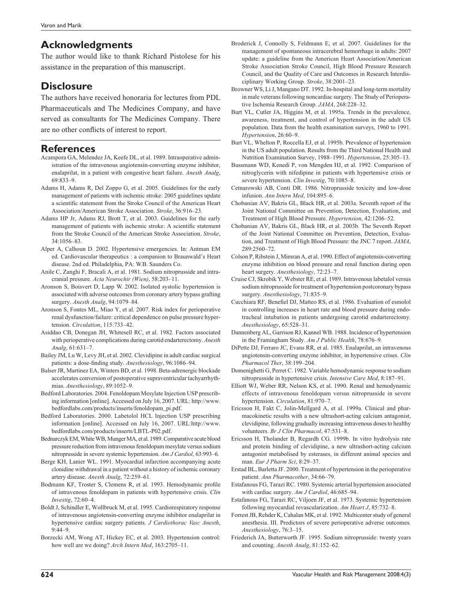# **Acknowledgments**

The author would like to thank Richard Pistolese for his assistance in the preparation of this manuscript.

# **Disclosure**

The authors have received honoraria for lectures from PDL Pharmaceuticals and The Medicines Company, and have served as consultants for The Medicines Company. There are no other conflicts of interest to report.

## **References**

- Acampora GA, Melendez JA, Keefe DL, et al. 1989. Intraoperative administration of the intravenous angiotensin-converting enzyme inhibitor, enalaprilat, in a patient with congestive heart failure. *Anesth Analg*, 69:833–9.
- Adams H, Adams R, Del Zoppo G, et al. 2005. Guidelines for the early management of patients with ischemic stroke: 2005 guidelines update a scientific statement from the Stroke Council of the American Heart Association/American Stroke Association. *Stroke*, 36:916–23.
- Adams HP Jr, Adams RJ, Brott T, et al. 2003. Guidelines for the early management of patients with ischemic stroke: A scientific statement from the Stroke Council of the American Stroke Association. *Stroke*, 34:1056–83.
- Alper A, Calhoun D. 2002. Hypertensive emergencies. In: Antman EM ed. Cardiovascular therapeutics : a companion to Braunwald's Heart disease. 2nd ed. Philadelphia, PA: W.B. Saunders Co.
- Anile C, Zanghi F, Bracali A, et al. 1981. Sodium nitroprusside and intracranial pressure. *Acta Neurochir (Wien)*, 58:203–11.
- Aronson S, Boisvert D, Lapp W. 2002. Isolated systolic hypertension is associated with adverse outcomes from coronary artery bypass grafting surgery. *Anesth Analg*, 94:1079–84.
- Aronson S, Fontes ML, Miao Y, et al. 2007. Risk index for perioperative renal dysfunction/failure: critical dependence on pulse pressure hypertension. *Circulation*, 115:733–42.
- Asiddao CB, Donegan JH, Whitesell RC, et al. 1982. Factors associated with perioperative complications during carotid endarterectomy. *Anesth Analg*, 61:631–7.
- Bailey JM, Lu W, Levy JH, et al. 2002. Clevidipine in adult cardiac surgical patients: a dose-finding study. **Anesthesiology**, 96:1086-94.
- Balser JR, Martinez EA, Winters BD, et al. 1998. Beta-adrenergic blockade accelerates conversion of postoperative supraventricular tachyarrhythmias. *Anesthesiology*, 89:1052–9.
- Bedford Laboratories. 2004. Fenoldopam Mesylate Injection USP prescribing information [online]. Accessed on July 16, 2007. URL: http://www. bedfordlabs.com/products/inserts/fenoldopam\_pi.pdf.
- Bedford Laboratories. 2000. Labetolol HCL Injection USP prescribing information [online]. Accessed on July 16, 2007. URL:http://www. bedfordlabs.com/products/inserts/LBTL-P02.pdf.
- Bednarczyk EM, White WB, Munger MA, et al. 1989. Comparative acute blood pressure reduction from intravenous fenoldopam mesylate versus sodium nitroprusside in severe systemic hypertension. *Am J Cardiol*, 63:993–6.
- Berge KH, Lanier WL. 1991. Myocardial infarction accompanying acute clonidine withdrawal in a patient without a history of ischemic coronary artery disease. *Anesth Analg*, 72:259–61.
- Bodmann KF, Troster S, Clemens R, et al. 1993. Hemodynamic profile of intravenous fenoldopam in patients with hypertensive crisis. *Clin Investig*, 72:60–4.
- Boldt J, Schindler E, Wollbruck M, et al. 1995. Cardiorespiratory response of intravenous angiotensin-converting enzyme inhibitor enalaprilat in hypertensive cardiac surgery patients. *J Cardiothorac Vasc Anesth*, 9:44–9.
- Borzecki AM, Wong AT, Hickey EC, et al. 2003. Hypertension control: how well are we doing? *Arch Intern Med*, 163:2705–11.
- Broderick J, Connolly S, Feldmann E, et al. 2007. Guidelines for the management of spontaneous intracerebral hemorrhage in adults: 2007 update: a guideline from the American Heart Association/American Stroke Association Stroke Council, High Blood Pressure Research Council, and the Quality of Care and Outcomes in Research Interdisciplinary Working Group. *Stroke*, 38:2001–23.
- Browner WS, Li J, Mangano DT. 1992. In-hospital and long-term mortality in male veterans following noncardiac surgery. The Study of Perioperative Ischemia Research Group. *JAMA*, 268:228–32.
- Burt VL, Cutler JA, Higgins M, et al. 1995a. Trends in the prevalence, awareness, treatment, and control of hypertension in the adult US population. Data from the health examination surveys, 1960 to 1991. *Hypertension*, 26:60–9.
- Burt VL, Whelton P, Roccella EJ, et al. 1995b. Prevalence of hypertension in the US adult population. Results from the Third National Health and Nutrition Examination Survey, 1988–1991. *Hypertension*, 25:305–13.
- Bussmann WD, Kenedi P, von Mengden HJ, et al. 1992. Comparison of nitroglycerin with nifedipine in patients with hypertensive crisis or severe hypertension. *Clin Investig*, 70:1085–8.
- Cetnarowski AB, Conti DR. 1986. Nitroprusside toxicity and low-dose infusion. *Ann Intern Med*, 104:895–6.
- Chobanian AV, Bakris GL, Black HR, et al. 2003a. Seventh report of the Joint National Committee on Prevention, Detection, Evaluation, and Treatment of High Blood Pressure. *Hypertension*, 42:1206–52.
- Chobanian AV, Bakris GL, Black HR, et al. 2003b. The Seventh Report of the Joint National Committee on Prevention, Detection, Evaluation, and Treatment of High Blood Pressure: the JNC 7 report. *JAMA*, 289:2560–72.
- Colson P, Ribstein J, Mimran A, et al. 1990. Effect of angiotensin-converting enzyme inhibition on blood pressure and renal function during open heart surgery. *Anesthesiology*, 72:23–7.
- Cruise CJ, Skrobik Y, Webster RE, et al. 1989. Intravenous labetalol versus sodium nitroprusside for treatment of hypertension postcoronary bypass surgery. *Anesthesiology*, 71:835–9.
- Cucchiara RF, Benefiel DJ, Matteo RS, et al. 1986. Evaluation of esmolol in controlling increases in heart rate and blood pressure during endotracheal intubation in patients undergoing carotid endarterectomy. *Anesthesiology*, 65:528–31.
- Dannenberg AL, Garrison RJ, Kannel WB. 1988. Incidence of hypertension in the Framingham Study. *Am J Public Health*, 78:676–9.
- DiPette DJ, Ferraro JC, Evans RR, et al. 1985. Enalaprilat, an intravenous angiotensin-converting enzyme inhibitor, in hypertensive crises. *Clin Pharmacol Ther*, 38:199–204.
- Domenighetti G, Perret C. 1982. Variable hemodynamic response to sodium nitroprusside in hypertensive crisis. *Intensive Care Med*, 8:187–91.
- Elliott WJ, Weber RR, Nelson KS, et al. 1990. Renal and hemodynamic effects of intravenous fenoldopam versus nitroprusside in severe hypertension. *Circulation*, 81:970–7.
- Ericsson H, Fakt C, Jolin-Mellgard A, et al. 1999a. Clinical and pharmacokinetic results with a new ultrashort-acting calcium antagonist, clevidipine, following gradually increasing intravenous doses to healthy volunteers. *Br J Clin Pharmacol*, 47:531–8.
- Ericsson H, Tholander B, Regardh CG. 1999b. In vitro hydrolysis rate and protein binding of clevidipine, a new ultrashort-acting calcium antagonist metabolised by esterases, in different animal species and man. *Eur J Pharm Sci*, 8:29–37.
- Erstad BL, Barletta JF. 2000. Treatment of hypertension in the perioperative patient. *Ann Pharmacother*, 34:66–79.
- Estafanous FG, Tarazi RC. 1980. Systemic arterial hypertension associated with cardiac surgery. *Am J Cardiol*, 46:685–94.
- Estafanous FG, Tarazi RC, Viljoen JF, et al. 1973. Systemic hypertension following myocardial revascularization. *Am Heart J*, 85:732–8.
- Forrest JB, Rehder K, Cahalan MK, et al. 1992. Multicenter study of general anesthesia. III. Predictors of severe perioperative adverse outcomes. *Anesthesiology*, 76:3–15.
- Friederich JA, Butterworth JF. 1995. Sodium nitroprusside: twenty years and counting. *Anesth Analg*, 81:152–62.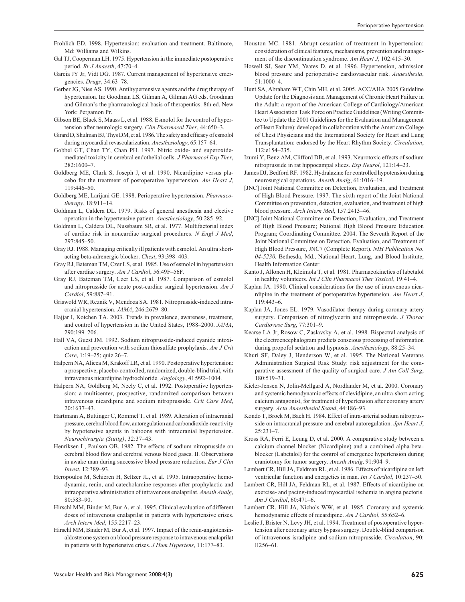- Frohlich ED. 1998. Hypertension: evaluation and treatment. Baltimore, Md: Williams and Wilkins.
- Gal TJ, Cooperman LH. 1975. Hypertension in the immediate postoperative period. *Br J Anaesth*, 47:70–4.
- Garcia JY Jr, Vidt DG. 1987. Current management of hypertensive emergencies. *Drugs*, 34:63–78.
- Gerber JG, Nies AS. 1990. Antihypertensive agents and the drug therapy of hypertension. In: Goodman LS, Gilman A, Gilman AG eds. Goodman and Gilman's the pharmacological basis of therapeutics. 8th ed. New York: Pergamon Pr.
- Gibson BE, Black S, Maass L, et al. 1988. Esmolol for the control of hypertension after neurologic surgery. *Clin Pharmacol Ther*, 44:650–3.
- Girard D, Shulman BJ, Thys DM, et al. 1986. The safety and efficacy of esmolol during myocardial revascularization. *Anesthesiology*, 65:157–64.
- Gobbel GT, Chan TY, Chan PH. 1997. Nitric oxide- and superoxidemediated toxicity in cerebral endothelial cells. *J Pharmacol Exp Ther*, 282:1600–7.
- Goldberg ME, Clark S, Joseph J, et al. 1990. Nicardipine versus placebo for the treatment of postoperative hypertension. *Am Heart J*, 119:446–50.
- Goldberg ME, Larijani GE. 1998. Perioperative hypertension. *Pharmacotherapy*, 18:911–14.
- Goldman L, Caldera DL. 1979. Risks of general anesthesia and elective operation in the hypertensive patient. *Anesthesiology*, 50:285–92.
- Goldman L, Caldera DL, Nussbaum SR, et al. 1977. Multifactorial index of cardiac risk in noncardiac surgical procedures. *N Engl J Med*,  $297.845 - 50$
- Gray RJ. 1988. Managing critically ill patients with esmolol. An ultra shortacting beta-adrenergic blocker. *Chest*, 93:398–403.
- Gray RJ, Bateman TM, Czer LS, et al. 1985. Use of esmolol in hypertension after cardiac surgery. *Am J Cardiol*, 56:49F–56F.
- Gray RJ, Bateman TM, Czer LS, et al. 1987. Comparison of esmolol and nitroprusside for acute post-cardiac surgical hypertension. *Am J Cardiol*, 59:887–91.
- Griswold WR, Reznik V, Mendoza SA. 1981. Nitroprusside-induced intracranial hypertension. *JAMA*, 246:2679–80.
- Hajjar I, Kotchen TA. 2003. Trends in prevalence, awareness, treatment, and control of hypertension in the United States, 1988–2000. *JAMA*, 290:199–206.
- Hall VA, Guest JM. 1992. Sodium nitroprusside-induced cyanide intoxication and prevention with sodium thiosulfate prophylaxis. *Am J Crit Care*, 1:19–25; quiz 26–7.
- Halpern NA, Alicea M, Krakoff LR, et al. 1990. Postoperative hypertension: a prospective, placebo-controlled, randomized, double-blind trial, with intravenous nicardipine hydrochloride. *Angiology*, 41:992–1004.
- Halpern NA, Goldberg M, Neely C, et al. 1992. Postoperative hypertension: a multicenter, prospective, randomized comparison between intravenous nicardipine and sodium nitroprusside. *Crit Care Med*, 20:1637–43.
- Hartmann A, Buttinger C, Rommel T, et al. 1989. Alteration of intracranial pressure, cerebral blood flow, autoregulation and carbondioxide-reactivity by hypotensive agents in baboons with intracranial hypertension. *Neurochirurgia (Stuttg)*, 32:37–43.
- Henriksen L, Paulson OB. 1982. The effects of sodium nitroprusside on cerebral blood flow and cerebral venous blood gases. II. Observations in awake man during successive blood pressure reduction. *Eur J Clin Invest*, 12:389–93.
- Heropoulos M, Schieren H, Seltzer JL, et al. 1995. Intraoperative hemodynamic, renin, and catecholamine responses after prophylactic and intraoperative administration of intravenous enalaprilat. *Anesth Analg*, 80:583–90.
- Hirschl MM, Binder M, Bur A, et al. 1995. Clinical evaluation of different doses of intravenous enalaprilat in patients with hypertensive crises. *Arch Intern Med*, 155:2217–23.
- Hirschl MM, Binder M, Bur A, et al. 1997. Impact of the renin-angiotensinaldosterone system on blood pressure response to intravenous enalaprilat in patients with hypertensive crises. *J Hum Hypertens*, 11:177–83.
- Houston MC. 1981. Abrupt cessation of treatment in hypertension: consideration of clinical features, mechanisms, prevention and management of the discontinuation syndrome. *Am Heart J*, 102:415–30.
- Howell SJ, Sear YM, Yeates D, et al. 1996. Hypertension, admission blood pressure and perioperative cardiovascular risk. *Anaesthesia*, 51:1000–4.
- Hunt SA, Abraham WT, Chin MH, et al. 2005. ACC/AHA 2005 Guideline Update for the Diagnosis and Management of Chronic Heart Failure in the Adult: a report of the American College of Cardiology/American Heart Association Task Force on Practice Guidelines (Writing Committee to Update the 2001 Guidelines for the Evaluation and Management of Heart Failure): developed in collaboration with the American College of Chest Physicians and the International Society for Heart and Lung Transplantation: endorsed by the Heart Rhythm Society. *Circulation*, 112:e154–235.
- Izumi Y, Benz AM, Clifford DB, et al. 1993. Neurotoxic effects of sodium nitroprusside in rat hippocampal slices. *Exp Neurol*, 121:14–23.
- James DJ, Bedford RF. 1982. Hydralazine for controlled hypotension during neurosurgical operations. *Anesth Analg*, 61:1016–19.
- [JNC] Joint National Committee on Detection, Evaluation, and Treatment of High Blood Pressure. 1997. The sixth report of the Joint National Committee on prevention, detection, evaluation, and treatment of high blood pressure. *Arch Intern Med*, 157:2413–46.
- [JNC] Joint National Committee on Detection, Evaluation, and Treatment of High Blood Pressure; National High Blood Pressure Education Program; Coordinating Committee. 2004. The Seventh Report of the Joint National Committee on Detection, Evaluation, and Treatment of High Blood Pressure, JNC7 (Complete Report). *NIH Publication No. 04-5230.* Bethesda, Md., National Heart, Lung, and Blood Institute, Health Information Center.
- Kanto J, Allonen H, Kleimola T, et al. 1981. Pharmacokinetics of labetalol in healthy volunteers. *Int J Clin Pharmacol Ther Toxicol*, 19:41–4.
- Kaplan JA. 1990. Clinical considerations for the use of intravenous nicardipine in the treatment of postoperative hypertension. *Am Heart J*, 119:443–6.
- Kaplan JA, Jones EL. 1979. Vasodilator therapy during coronary artery surgery. Comparison of nitroglycerin and nitroprusside. *J Thorac Cardiovasc Surg*, 77:301–9.
- Kearse LA Jr, Rosow C, Zaslavsky A, et al. 1998. Bispectral analysis of the electroencephalogram predicts conscious processing of information during propofol sedation and hypnosis. *Anesthesiology*, 88:25–34.
- Khuri SF, Daley J, Henderson W, et al. 1995. The National Veterans Administration Surgical Risk Study: risk adjustment for the comparative assessment of the quality of surgical care. *J Am Coll Surg*, 180:519–31.
- Kieler-Jensen N, Jolin-Mellgard A, Nordlander M, et al. 2000. Coronary and systemic hemodynamic effects of clevidipine, an ultra-short-acting calcium antagonist, for treatment of hypertension after coronary artery surgery. *Acta Anaesthesiol Scand*, 44:186–93.
- Kondo T, Brock M, Bach H. 1984. Effect of intra-arterial sodium nitroprusside on intracranial pressure and cerebral autoregulation. *Jpn Heart J*, 25:231–7.
- Kross RA, Ferri E, Leung D, et al. 2000. A comparative study between a calcium channel blocker (Nicardipine) and a combined alpha-betablocker (Labetalol) for the control of emergence hypertension during craniotomy for tumor surgery. *Anesth Analg*, 91:904–9.
- Lambert CR, Hill JA, Feldman RL, et al. 1986. Effects of nicardipine on left ventricular function and energetics in man. *Int J Cardiol*, 10:237–50.
- Lambert CR, Hill JA, Feldman RL, et al. 1987. Effects of nicardipine on exercise- and pacing-induced myocardial ischemia in angina pectoris. *Am J Cardiol*, 60:471–6.
- Lambert CR, Hill JA, Nichols WW, et al. 1985. Coronary and systemic hemodynamic effects of nicardipine. *Am J Cardiol*, 55:652–6.
- Leslie J, Brister N, Levy JH, et al. 1994. Treatment of postoperative hypertension after coronary artery bypass surgery. Double-blind comparison of intravenous isradipine and sodium nitroprusside. *Circulation*, 90: II256–61.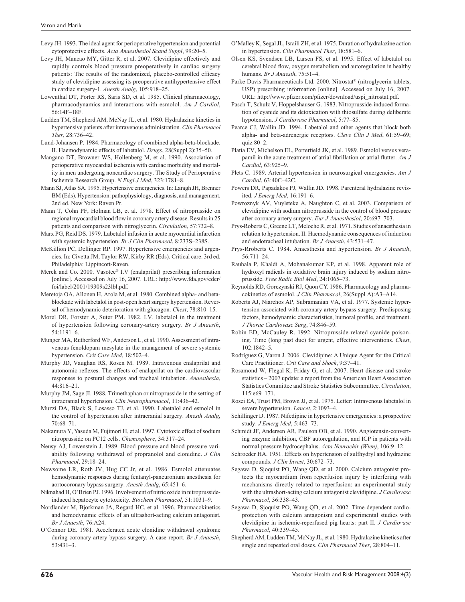- Levy JH. 1993. The ideal agent for perioperative hypertension and potential cytoprotective effects. *Acta Anaesthesiol Scand Suppl*, 99:20–5.
- Levy JH, Mancao MY, Gitter R, et al. 2007. Clevidipine effectively and rapidly controls blood pressure preoperatively in cardiac surgery patients: The results of the randomized, placebo-controlled efficacy study of clevidipine assessing its preoperative antihypertensive effect in cardiac surgery-1. *Anesth Analg*, 105:918–25.
- Lowenthal DT, Porter RS, Saris SD, et al. 1985. Clinical pharmacology, pharmacodynamics and interactions with esmolol. *Am J Cardiol*, 56:14F–18F.
- Ludden TM, Shepherd AM, McNay JL, et al. 1980. Hydralazine kinetics in hypertensive patients after intravenous administration. *Clin Pharmacol Ther*, 28:736–42.
- Lund-Johansen P. 1984. Pharmacology of combined alpha-beta-blockade. II. Haemodynamic effects of labetalol. *Drugs*, 28(Suppl 2):35–50.
- Mangano DT, Browner WS, Hollenberg M, et al. 1990. Association of perioperative myocardial ischemia with cardiac morbidity and mortality in men undergoing noncardiac surgery. The Study of Perioperative Ischemia Research Group. *N Engl J Med*, 323:1781–8.
- Mann SJ, Atlas SA. 1995. Hypertensive emergencies. In: Laragh JH, Brenner BM (Eds). Hypertension: pathophysiology, diagnosis, and management. 2nd ed. New York: Raven Pr.
- Mann T, Cohn PF, Holman LB, et al. 1978. Effect of nitroprusside on regional myocardial blood flow in coronary artery disease. Results in 25 patients and comparison with nitroglycerin. *Circulation*, 57:732–8.
- Marx PG, Reid DS. 1979. Labetalol infusion in acute myocardial infarction with systemic hypertension. *Br J Clin Pharmacol*, 8:233S–238S.
- McKillion PC, Dellinger RP. 1997. Hypertensive emergencies and urgencies. In: Civetta JM, Taylor RW, Kirby RR (Eds). Critical care. 3rd ed. Philadelphia: Lippincott-Raven.
- Merck and Co. 2000. Vasotec® I.V (enalaprilat) prescribing information [online]. Accessed on July 16, 2007. URL: http://www.fda.gov/cder/ foi/label/2001/19309s23lbl.pdf.
- Meretoja OA, Allonen H, Arola M, et al. 1980. Combined alpha- and betablockade with labetalol in post-open heart surgery hypertension. Reversal of hemodynamic deterioration with glucagon. *Chest*, 78:810–15.
- Morel DR, Forster A, Suter PM. 1982. I.V. labetalol in the treatment of hypertension following coronary-artery surgery. *Br J Anaesth*, 54:1191–6.
- Munger MA, Rutherford WF, Anderson L, et al. 1990. Assessment of intravenous fenoldopam mesylate in the management of severe systemic hypertension. *Crit Care Med*, 18:502–4.
- Murphy JD, Vaughan RS, Rosen M. 1989. Intravenous enalaprilat and autonomic reflexes. The effects of enalaprilat on the cardiovascular responses to postural changes and tracheal intubation. *Anaesthesia*, 44:816–21.
- Murphy JM, Sage JI. 1988. Trimethaphan or nitroprusside in the setting of intracranial hypertension. *Clin Neuropharmacol*, 11:436–42.
- Muzzi DA, Black S, Losasso TJ, et al. 1990. Labetalol and esmolol in the control of hypertension after intracranial surgery. *Anesth Analg*, 70:68–71.
- Nakamura Y, Yasuda M, Fujimori H, et al. 1997. Cytotoxic effect of sodium nitroprusside on PC12 cells. *Chemosphere*, 34:317–24.
- Neusy AJ, Lowenstein J. 1989. Blood pressure and blood pressure variability following withdrawal of propranolol and clonidine. *J Clin Pharmacol*, 29:18–24.
- Newsome LR, Roth JV, Hug CC Jr, et al. 1986. Esmolol attenuates hemodynamic responses during fentanyl-pancuronium anesthesia for aortocoronary bypass surgery. *Anesth Analg*, 65:451–6.
- Niknahad H, O'Brien PJ. 1996. Involvement of nitric oxide in nitroprussideinduced hepatocyte cytotoxicity. *Biochem Pharmacol*, 51:1031–9.
- Nordlander M, Bjorkman JA, Regard HC, et al. 1996. Pharmacokinetics and hemodynamic effects of an ultrashort-acting calcium antagonist. *Br J Anaesth*, 76:A24.
- O'Connor DE. 1981. Accelerated acute clonidine withdrawal syndrome during coronary artery bypass surgery. A case report. *Br J Anaesth*, 53:431–3.
- O'Malley K, Segal JL, Israili ZH, et al. 1975. Duration of hydralazine action in hypertension. *Clin Pharmacol Ther*, 18:581–6.
- Olsen KS, Svendsen LB, Larsen FS, et al. 1995. Effect of labetalol on cerebral blood flow, oxygen metabolism and autoregulation in healthy humans. *Br J Anaesth*, 75:51–4.
- Parke Davis Pharmaceuticals Ltd. 2000. Nitrostat® (nitroglycerin tablets, USP) prescribing information [online]. Accessed on July 16, 2007. URL: http://www.pfizer.com/pfizer/download/uspi\_nitrostat.pdf.
- Pasch T, Schulz V, Hoppelshauser G. 1983. Nitroprusside-induced formation of cyanide and its detoxication with thiosulfate during deliberate hypotension. *J Cardiovasc Pharmacol*, 5:77–85.
- Pearce CJ, Wallin JD. 1994. Labetalol and other agents that block both alpha- and beta-adrenergic receptors. *Cleve Clin J Med*, 61:59–69; quiz 80–2.
- Platia EV, Michelson EL, Porterfield JK, et al. 1989. Esmolol versus verapamil in the acute treatment of atrial fibrillation or atrial flutter. Am J *Cardiol*, 63:925–9.
- Plets C. 1989. Arterial hypertension in neurosurgical emergencies. *Am J Cardiol*, 63:40C–42C.
- Powers DR, Papadakos PJ, Wallin JD. 1998. Parenteral hydralazine revisited. *J Emerg Med*, 16:191–6.
- Powroznyk AV, Vuylsteke A, Naughton C, et al. 2003. Comparison of clevidipine with sodium nitroprusside in the control of blood pressure after coronary artery surgery. *Eur J Anaesthesiol*, 20:697–703.
- Prys-Roberts C, Greene LT, Meloche R, et al. 1971. Studies of anaesthesia in relation to hypertension. II. Haemodynamic consequences of induction and endotracheal intubation. *Br J Anaesth*, 43:531–47.
- Prys-Rroberts C. 1984. Anaesthesia and hypertension. *Br J Anaesth*, 56:711–24.
- Rauhala P, Khaldi A, Mohanakumar KP, et al. 1998. Apparent role of hydroxyl radicals in oxidative brain injury induced by sodium nitroprusside. *Free Radic Biol Med*, 24:1065–73.
- Reynolds RD, Gorczynski RJ, Quon CY. 1986. Pharmacology and pharmacokinetics of esmolol. *J Clin Pharmacol*, 26(Suppl A):A3–A14.
- Roberts AJ, Niarchos AP, Subramanian VA, et al. 1977. Systemic hypertension associated with coronary artery bypass surgery. Predisposing factors, hemodynamic characteristics, humoral profile, and treatment. *J Thorac Cardiovasc Surg*, 74:846–59.
- Robin ED, McCauley R. 1992. Nitroprusside-related cyanide poisoning. Time (long past due) for urgent, effective interventions. *Chest*, 102:1842–5.
- Rodríguez G, Varon J. 2006. Clevidipine: A Unique Agent for the Critical Care Practitioner. *Crit Care and Shock*, 9:37–41.
- Rosamond W, Flegal K, Friday G, et al. 2007. Heart disease and stroke statistics – 2007 update: a report from the American Heart Association Statistics Committee and Stroke Statistics Subcommittee. *Circulation*, 115:e69–171.
- Rosei EA, Trust PM, Brown JJ, et al. 1975. Letter: Intravenous labetalol in severe hypertension. *Lancet*, 2:1093–4.
- Schillinger D. 1987. Nifedipine in hypertensive emergencies: a prospective study. *J Emerg Med*, 5:463–73.
- Schmidt JF, Andersen AR, Paulson OB, et al. 1990. Angiotensin-converting enzyme inhibition, CBF autoregulation, and ICP in patients with normal-pressure hydrocephalus. *Acta Neurochir (Wien)*, 106:9–12.
- Schroeder HA. 1951. Effects on hypertension of sulfhydryl and hydrazine compounds. *J Clin Invest*, 30:672–73.
- Segawa D, Sjoquist PO, Wang QD, et al. 2000. Calcium antagonist protects the myocardium from reperfusion injury by interfering with mechanisms directly related to reperfusion: an experimental study with the ultrashort-acting calcium antagonist clevidipine. *J Cardiovasc Pharmacol*, 36:338–43.
- Segawa D, Sjoquist PO, Wang QD, et al. 2002. Time-dependent cardioprotection with calcium antagonism and experimental studies with clevidipine in ischemic-reperfused pig hearts: part II. *J Cardiovasc Pharmacol*, 40:339–45.
- Shepherd AM, Ludden TM, McNay JL, et al. 1980. Hydralazine kinetics after single and repeated oral doses. *Clin Pharmacol Ther*, 28:804–11.